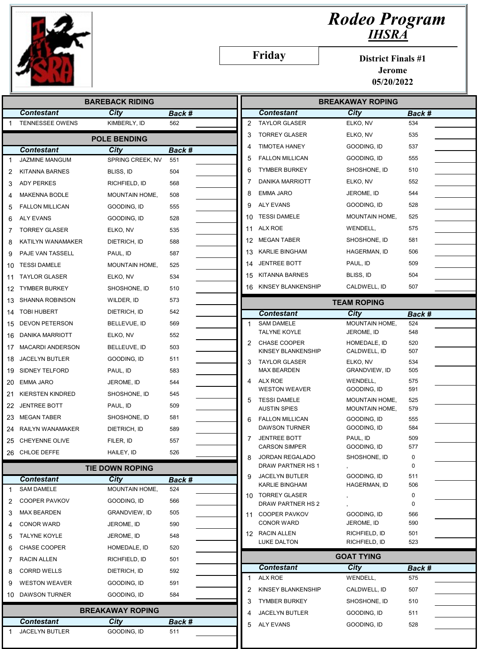

## Rodeo Program IHSRA

Friday

District Finals #1

Jerome 05/20/2022

|                        |                         | <b>BAREBACK RIDING</b>  |               |                |                                             | <b>BREAKAWAY ROPING</b>        |               |
|------------------------|-------------------------|-------------------------|---------------|----------------|---------------------------------------------|--------------------------------|---------------|
|                        | <b>Contestant</b>       | <b>City</b>             | Back #        |                | <b>Contestant</b>                           | City                           | Back #        |
|                        | <b>TENNESSEE OWENS</b>  | KIMBERLY, ID            | 562           | $\overline{2}$ | <b>TAYLOR GLASER</b>                        | ELKO, NV                       | 534           |
|                        |                         | <b>POLE BENDING</b>     |               | 3              | <b>TORREY GLASER</b>                        | ELKO, NV                       | 535           |
|                        | <b>Contestant</b>       | City                    | Back #        | 4              | <b>TIMOTEA HANEY</b>                        | GOODING, ID                    | 537           |
| 1                      | <b>JAZMINE MANGUM</b>   | SPRING CREEK, NV        | 551           | 5              | <b>FALLON MILLICAN</b>                      | GOODING, ID                    | 555           |
| 2                      | <b>KITANNA BARNES</b>   | BLISS, ID               | 504           | 6              | <b>TYMBER BURKEY</b>                        | SHOSHONE, ID                   | 510           |
| 3                      | <b>ADY PERKES</b>       | RICHFIELD, ID           | 568           | 7              | <b>DANIKA MARRIOTT</b>                      | ELKO, NV                       | 552           |
| 4                      | <b>MAKENNA BODLE</b>    | MOUNTAIN HOME,          | 508           | 8              | <b>EMMA JARO</b>                            | JEROME, ID                     | 544           |
| 5                      | <b>FALLON MILLICAN</b>  | GOODING, ID             | 555           | 9              | <b>ALY EVANS</b>                            | GOODING, ID                    | 528           |
| 6                      | <b>ALY EVANS</b>        | GOODING, ID             | 528           | 10             | <b>TESSI DAMELE</b>                         | MOUNTAIN HOME,                 | 525           |
| 7                      | <b>TORREY GLASER</b>    | ELKO, NV                | 535           | 11             | ALX ROE                                     | WENDELL,                       | 575           |
| 8                      | KATILYN WANAMAKER       | DIETRICH, ID            | 588           |                | 12 MEGAN TABER                              | SHOSHONE, ID                   | 581           |
| 9                      | PAJE VAN TASSELL        | PAUL, ID                | 587           | 13             | <b>KARLIE BINGHAM</b>                       | HAGERMAN, ID                   | 506           |
| 10                     | <b>TESSI DAMELE</b>     | MOUNTAIN HOME,          | 525           | 14             | <b>JENTREE BOTT</b>                         | PAUL, ID                       | 509           |
| 11                     | <b>TAYLOR GLASER</b>    | ELKO, NV                | 534           | 15             | <b>KITANNA BARNES</b>                       | BLISS, ID                      | 504           |
| 12.                    | <b>TYMBER BURKEY</b>    | SHOSHONE, ID            | 510           |                | 16 KINSEY BLANKENSHIP                       | CALDWELL, ID                   | 507           |
| 13                     | <b>SHANNA ROBINSON</b>  | WILDER, ID              | 573           |                |                                             | <b>TEAM ROPING</b>             |               |
| 14                     | <b>TOBI HUBERT</b>      | DIETRICH, ID            | 542           |                | <b>Contestant</b>                           | City                           | Back #        |
| 15                     | <b>DEVON PETERSON</b>   | BELLEVUE, ID            | 569           | $\mathbf{1}$   | <b>SAM DAMELE</b>                           | MOUNTAIN HOME,                 | 524           |
| 16                     | <b>DANIKA MARRIOTT</b>  | ELKO, NV                | 552           |                | <b>TALYNE KOYLE</b>                         | JEROME, ID                     | 548           |
| 17                     | <b>MACARDI ANDERSON</b> | BELLEUVE, ID            | 503           | 2              | <b>CHASE COOPER</b><br>KINSEY BLANKENSHIP   | HOMEDALE, ID<br>CALDWELL, ID   | 520<br>507    |
| 18                     | JACELYN BUTLER          | GOODING, ID             | 511           | 3              | <b>TAYLOR GLASER</b>                        | ELKO, NV                       | 534           |
| 19                     | <b>SIDNEY TELFORD</b>   | PAUL, ID                | 583           |                | <b>MAX BEARDEN</b>                          | GRANDVIEW, ID                  | 505           |
| 20                     | <b>EMMA JARO</b>        | JEROME, ID              | 544           | 4              | ALX ROE                                     | WENDELL,                       | 575           |
| 21                     | <b>KIERSTEN KINDRED</b> | SHOSHONE, ID            | 545           | 5              | <b>WESTON WEAVER</b><br><b>TESSI DAMELE</b> | GOODING, ID<br>MOUNTAIN HOME,  | 591<br>525    |
| 22                     | <b>JENTREE BOTT</b>     | PAUL, ID                | 509           |                | <b>AUSTIN SPIES</b>                         | MOUNTAIN HOME,                 | 579           |
| 23                     | <b>MEGAN TABER</b>      | SHOSHONE, ID            | 581           | 6              | <b>FALLON MILLICAN</b>                      | GOODING, ID                    | 555           |
| 24                     | <b>RAILYN WANAMAKER</b> | DIETRICH, ID            | 589           |                | <b>DAWSON TURNER</b>                        | GOODING, ID                    | 584           |
| 25                     | CHEYENNE OLIVE          | FILER, ID               | 557           | 7              | <b>JENTREE BOTT</b><br><b>CARSON SIMPER</b> | PAUL, ID<br>GOODING, ID        | 509<br>577    |
| 26                     | CHLOE DEFFE             | HAILEY, ID              | 526           | 8              | <b>JORDAN REGALADO</b>                      | SHOSHONE, ID                   | $\mathbf 0$   |
| <b>TIE DOWN ROPING</b> |                         |                         |               |                | DRAW PARTNER HS 1                           |                                | 0             |
|                        | <b>Contestant</b>       | City                    | Back #        | 9              | <b>JACELYN BUTLER</b>                       | GOODING, ID                    | 511           |
| 1                      | <b>SAM DAMELE</b>       | MOUNTAIN HOME,          | 524           |                | KARLIE BINGHAM                              | HAGERMAN, ID                   | 506           |
| 2                      | <b>COOPER PAVKOV</b>    | GOODING, ID             | 566           |                | 10 TORREY GLASER<br>DRAW PARTNER HS 2       |                                | 0<br>0        |
| 3                      | <b>MAX BEARDEN</b>      | GRANDVIEW, ID           | 505           |                | 11 COOPER PAVKOV                            | GOODING, ID                    | 566           |
| 4                      | <b>CONOR WARD</b>       | JEROME, ID              | 590           |                | <b>CONOR WARD</b>                           | JEROME, ID                     | 590           |
| 5                      | <b>TALYNE KOYLE</b>     | JEROME, ID              | 548           |                | 12 RACIN ALLEN<br>LUKE DALTON               | RICHFIELD, ID<br>RICHFIELD, ID | 501<br>523    |
| 6                      | <b>CHASE COOPER</b>     | HOMEDALE, ID            | 520           |                |                                             |                                |               |
| 7                      | RACIN ALLEN             | RICHFIELD, ID           | 501           |                |                                             | <b>GOAT TYING</b>              |               |
| 8                      | <b>CORRD WELLS</b>      | DIETRICH, ID            | 592           | 1              | <b>Contestant</b><br>ALX ROE                | City<br>WENDELL,               | Back #<br>575 |
| 9                      | <b>WESTON WEAVER</b>    | GOODING, ID             | 591           | 2              | KINSEY BLANKENSHIP                          | CALDWELL, ID                   | 507           |
| 10                     | <b>DAWSON TURNER</b>    | GOODING, ID             | 584           | 3              | <b>TYMBER BURKEY</b>                        | SHOSHONE, ID                   | 510           |
|                        |                         | <b>BREAKAWAY ROPING</b> |               | 4              | JACELYN BUTLER                              | GOODING, ID                    | 511           |
|                        | <b>Contestant</b>       | City                    | <u>Back #</u> | 5              | <b>ALY EVANS</b>                            | GOODING, ID                    | 528           |
| 1                      | JACELYN BUTLER          | GOODING, ID             | 511           |                |                                             |                                |               |
|                        |                         |                         |               |                |                                             |                                |               |